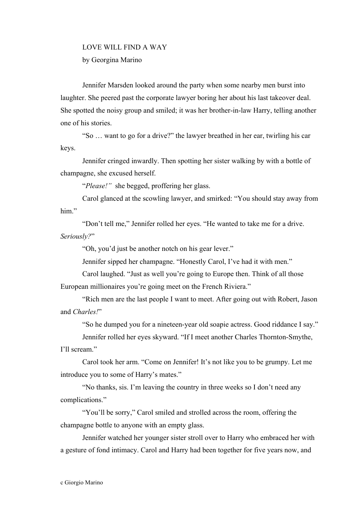## LOVE WILL FIND A WAY by Georgina Marino

Jennifer Marsden looked around the party when some nearby men burst into laughter. She peered past the corporate lawyer boring her about his last takeover deal. She spotted the noisy group and smiled; it was her brother-in-law Harry, telling another one of his stories.

"So … want to go for a drive?" the lawyer breathed in her ear, twirling his car keys.

Jennifer cringed inwardly. Then spotting her sister walking by with a bottle of champagne, she excused herself.

"*Please!"* she begged, proffering her glass.

Carol glanced at the scowling lawyer, and smirked: "You should stay away from him"

"Don't tell me," Jennifer rolled her eyes. "He wanted to take me for a drive. *Seriously?*"

"Oh, you'd just be another notch on his gear lever."

Jennifer sipped her champagne. "Honestly Carol, I've had it with men."

Carol laughed. "Just as well you're going to Europe then. Think of all those European millionaires you're going meet on the French Riviera."

"Rich men are the last people I want to meet. After going out with Robert, Jason and *Charles!*"

"So he dumped you for a nineteen-year old soapie actress. Good riddance I say."

Jennifer rolled her eyes skyward. "If I meet another Charles Thornton-Smythe, I'll scream."

Carol took her arm. "Come on Jennifer! It's not like you to be grumpy. Let me introduce you to some of Harry's mates."

"No thanks, sis. I'm leaving the country in three weeks so I don't need any complications."

"You'll be sorry," Carol smiled and strolled across the room, offering the champagne bottle to anyone with an empty glass.

Jennifer watched her younger sister stroll over to Harry who embraced her with a gesture of fond intimacy. Carol and Harry had been together for five years now, and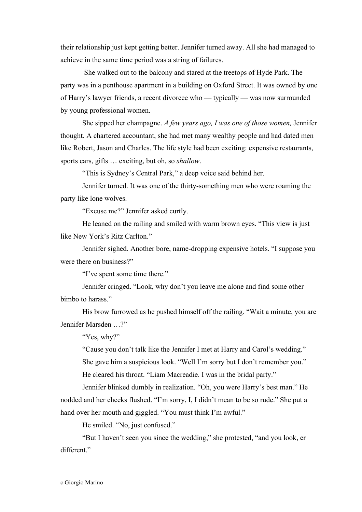their relationship just kept getting better. Jennifer turned away. All she had managed to achieve in the same time period was a string of failures.

She walked out to the balcony and stared at the treetops of Hyde Park. The party was in a penthouse apartment in a building on Oxford Street. It was owned by one of Harry's lawyer friends, a recent divorcee who — typically — was now surrounded by young professional women.

She sipped her champagne. *A few years ago, I was one of those women,* Jennifer thought. A chartered accountant, she had met many wealthy people and had dated men like Robert, Jason and Charles. The life style had been exciting: expensive restaurants, sports cars, gifts … exciting, but oh, so *shallow*.

"This is Sydney's Central Park," a deep voice said behind her.

Jennifer turned. It was one of the thirty-something men who were roaming the party like lone wolves.

"Excuse me?" Jennifer asked curtly.

He leaned on the railing and smiled with warm brown eyes. "This view is just like New York's Ritz Carlton."

Jennifer sighed. Another bore, name-dropping expensive hotels. "I suppose you were there on business?"

"I've spent some time there."

Jennifer cringed. "Look, why don't you leave me alone and find some other bimbo to harass."

His brow furrowed as he pushed himself off the railing. "Wait a minute, you are Jennifer Marsden …?"

"Yes, why?"

"Cause you don't talk like the Jennifer I met at Harry and Carol's wedding." She gave him a suspicious look. "Well I'm sorry but I don't remember you."

He cleared his throat. "Liam Macreadie. I was in the bridal party."

Jennifer blinked dumbly in realization. "Oh, you were Harry's best man." He nodded and her cheeks flushed. "I'm sorry, I, I didn't mean to be so rude." She put a hand over her mouth and giggled. "You must think I'm awful."

He smiled. "No, just confused."

"But I haven't seen you since the wedding," she protested, "and you look, er different."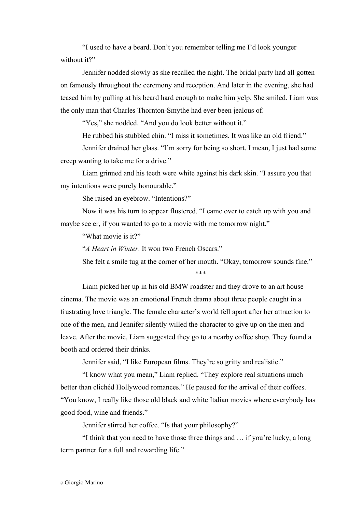"I used to have a beard. Don't you remember telling me I'd look younger without it?"

Jennifer nodded slowly as she recalled the night. The bridal party had all gotten on famously throughout the ceremony and reception. And later in the evening, she had teased him by pulling at his beard hard enough to make him yelp. She smiled. Liam was the only man that Charles Thornton-Smythe had ever been jealous of.

"Yes," she nodded. "And you do look better without it."

He rubbed his stubbled chin. "I miss it sometimes. It was like an old friend."

Jennifer drained her glass. "I'm sorry for being so short. I mean, I just had some creep wanting to take me for a drive."

Liam grinned and his teeth were white against his dark skin. "I assure you that my intentions were purely honourable."

She raised an eyebrow. "Intentions?"

Now it was his turn to appear flustered. "I came over to catch up with you and maybe see er, if you wanted to go to a movie with me tomorrow night."

"What movie is it?"

"*A Heart in Winter*. It won two French Oscars."

She felt a smile tug at the corner of her mouth. "Okay, tomorrow sounds fine."

## \*\*\*

Liam picked her up in his old BMW roadster and they drove to an art house cinema. The movie was an emotional French drama about three people caught in a frustrating love triangle. The female character's world fell apart after her attraction to one of the men, and Jennifer silently willed the character to give up on the men and leave. After the movie, Liam suggested they go to a nearby coffee shop. They found a booth and ordered their drinks.

Jennifer said, "I like European films. They're so gritty and realistic."

"I know what you mean," Liam replied. "They explore real situations much better than clichéd Hollywood romances." He paused for the arrival of their coffees. "You know, I really like those old black and white Italian movies where everybody has good food, wine and friends."

Jennifer stirred her coffee. "Is that your philosophy?"

"I think that you need to have those three things and … if you're lucky, a long term partner for a full and rewarding life."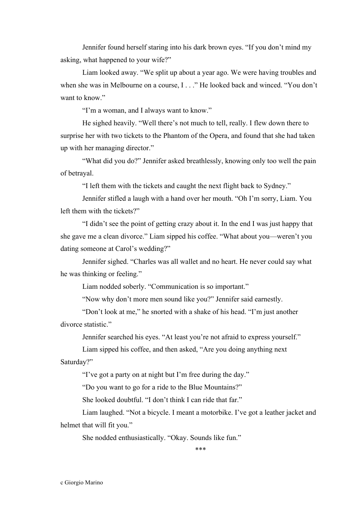Jennifer found herself staring into his dark brown eyes. "If you don't mind my asking, what happened to your wife?"

Liam looked away. "We split up about a year ago. We were having troubles and when she was in Melbourne on a course, I . . ." He looked back and winced. "You don't want to know."

"I'm a woman, and I always want to know."

He sighed heavily. "Well there's not much to tell, really. I flew down there to surprise her with two tickets to the Phantom of the Opera, and found that she had taken up with her managing director."

"What did you do?" Jennifer asked breathlessly, knowing only too well the pain of betrayal.

"I left them with the tickets and caught the next flight back to Sydney."

Jennifer stifled a laugh with a hand over her mouth. "Oh I'm sorry, Liam. You left them with the tickets?"

"I didn't see the point of getting crazy about it. In the end I was just happy that she gave me a clean divorce." Liam sipped his coffee. "What about you—weren't you dating someone at Carol's wedding?"

Jennifer sighed. "Charles was all wallet and no heart. He never could say what he was thinking or feeling."

Liam nodded soberly. "Communication is so important."

"Now why don't more men sound like you?" Jennifer said earnestly.

"Don't look at me," he snorted with a shake of his head. "I'm just another divorce statistic."

Jennifer searched his eyes. "At least you're not afraid to express yourself."

Liam sipped his coffee, and then asked, "Are you doing anything next Saturday?"

"I've got a party on at night but I'm free during the day."

"Do you want to go for a ride to the Blue Mountains?"

She looked doubtful. "I don't think I can ride that far."

Liam laughed. "Not a bicycle. I meant a motorbike. I've got a leather jacket and helmet that will fit you."

She nodded enthusiastically. "Okay. Sounds like fun."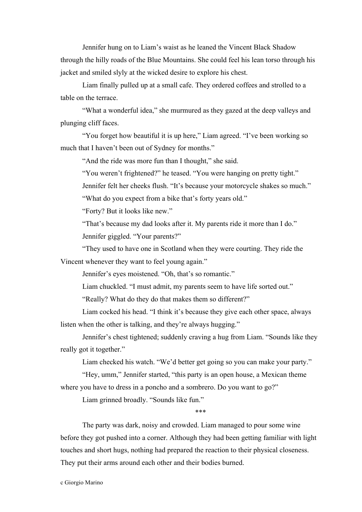Jennifer hung on to Liam's waist as he leaned the Vincent Black Shadow through the hilly roads of the Blue Mountains. She could feel his lean torso through his jacket and smiled slyly at the wicked desire to explore his chest.

Liam finally pulled up at a small cafe. They ordered coffees and strolled to a table on the terrace.

"What a wonderful idea," she murmured as they gazed at the deep valleys and plunging cliff faces.

"You forget how beautiful it is up here," Liam agreed. "I've been working so much that I haven't been out of Sydney for months."

"And the ride was more fun than I thought," she said.

"You weren't frightened?" he teased. "You were hanging on pretty tight."

Jennifer felt her cheeks flush. "It's because your motorcycle shakes so much."

"What do you expect from a bike that's forty years old."

"Forty? But it looks like new."

"That's because my dad looks after it. My parents ride it more than I do." Jennifer giggled. "Your parents?"

"They used to have one in Scotland when they were courting. They ride the Vincent whenever they want to feel young again."

Jennifer's eyes moistened. "Oh, that's so romantic."

Liam chuckled. "I must admit, my parents seem to have life sorted out."

"Really? What do they do that makes them so different?"

Liam cocked his head. "I think it's because they give each other space, always listen when the other is talking, and they're always hugging."

Jennifer's chest tightened; suddenly craving a hug from Liam. "Sounds like they really got it together."

Liam checked his watch. "We'd better get going so you can make your party."

"Hey, umm," Jennifer started, "this party is an open house, a Mexican theme where you have to dress in a poncho and a sombrero. Do you want to go?"

Liam grinned broadly. "Sounds like fun."

## \*\*\*

The party was dark, noisy and crowded. Liam managed to pour some wine before they got pushed into a corner. Although they had been getting familiar with light touches and short hugs, nothing had prepared the reaction to their physical closeness. They put their arms around each other and their bodies burned.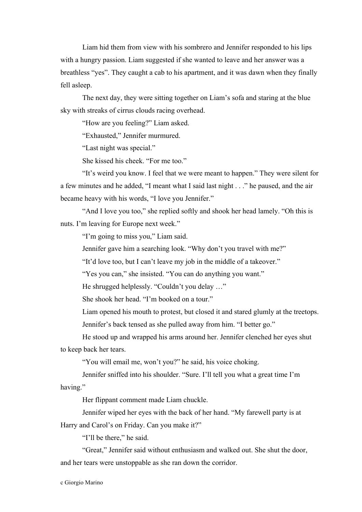Liam hid them from view with his sombrero and Jennifer responded to his lips with a hungry passion. Liam suggested if she wanted to leave and her answer was a breathless "yes". They caught a cab to his apartment, and it was dawn when they finally fell asleep.

The next day, they were sitting together on Liam's sofa and staring at the blue sky with streaks of cirrus clouds racing overhead.

"How are you feeling?" Liam asked.

"Exhausted," Jennifer murmured.

"Last night was special."

She kissed his cheek. "For me too."

"It's weird you know. I feel that we were meant to happen." They were silent for a few minutes and he added, "I meant what I said last night . . ." he paused, and the air became heavy with his words, "I love you Jennifer."

"And I love you too," she replied softly and shook her head lamely. "Oh this is nuts. I'm leaving for Europe next week."

"I'm going to miss you," Liam said.

Jennifer gave him a searching look. "Why don't you travel with me?"

"It'd love too, but I can't leave my job in the middle of a takeover."

"Yes you can," she insisted. "You can do anything you want."

He shrugged helplessly. "Couldn't you delay …"

She shook her head. "I'm booked on a tour."

Liam opened his mouth to protest, but closed it and stared glumly at the treetops.

Jennifer's back tensed as she pulled away from him. "I better go."

He stood up and wrapped his arms around her. Jennifer clenched her eyes shut to keep back her tears.

"You will email me, won't you?" he said, his voice choking.

Jennifer sniffed into his shoulder. "Sure. I'll tell you what a great time I'm having."

Her flippant comment made Liam chuckle.

Jennifer wiped her eyes with the back of her hand. "My farewell party is at

Harry and Carol's on Friday. Can you make it?"

"I'll be there," he said.

"Great," Jennifer said without enthusiasm and walked out. She shut the door, and her tears were unstoppable as she ran down the corridor.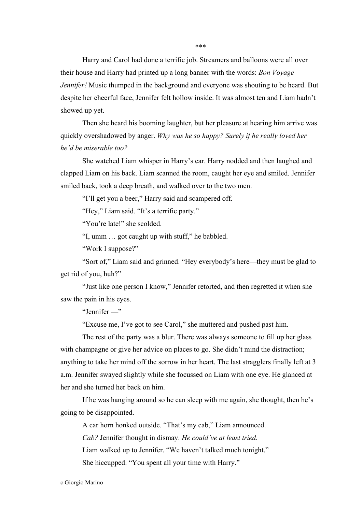\*\*\*

Harry and Carol had done a terrific job. Streamers and balloons were all over their house and Harry had printed up a long banner with the words: *Bon Voyage Jennifer!* Music thumped in the background and everyone was shouting to be heard. But despite her cheerful face, Jennifer felt hollow inside. It was almost ten and Liam hadn't showed up yet.

Then she heard his booming laughter, but her pleasure at hearing him arrive was quickly overshadowed by anger. *Why was he so happy? Surely if he really loved her he'd be miserable too?*

She watched Liam whisper in Harry's ear. Harry nodded and then laughed and clapped Liam on his back. Liam scanned the room, caught her eye and smiled. Jennifer smiled back, took a deep breath, and walked over to the two men.

"I'll get you a beer," Harry said and scampered off.

"Hey," Liam said. "It's a terrific party."

"You're late!" she scolded.

"I, umm … got caught up with stuff," he babbled.

"Work I suppose?"

"Sort of," Liam said and grinned. "Hey everybody's here—they must be glad to get rid of you, huh?"

"Just like one person I know," Jennifer retorted, and then regretted it when she saw the pain in his eyes.

"Jennifer —"

"Excuse me, I've got to see Carol," she muttered and pushed past him.

The rest of the party was a blur. There was always someone to fill up her glass with champagne or give her advice on places to go. She didn't mind the distraction; anything to take her mind off the sorrow in her heart. The last stragglers finally left at 3 a.m. Jennifer swayed slightly while she focussed on Liam with one eye. He glanced at her and she turned her back on him.

If he was hanging around so he can sleep with me again, she thought, then he's going to be disappointed.

A car horn honked outside. "That's my cab," Liam announced. *Cab?* Jennifer thought in dismay. *He could've at least tried.* Liam walked up to Jennifer. "We haven't talked much tonight." She hiccupped. "You spent all your time with Harry."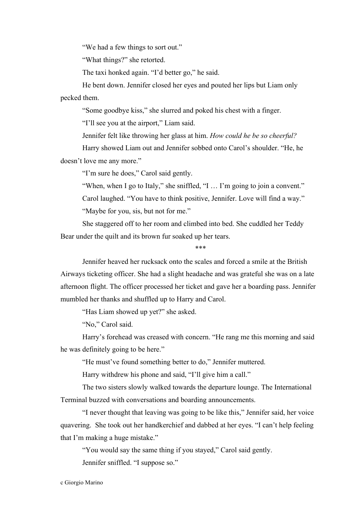"We had a few things to sort out."

"What things?" she retorted.

The taxi honked again. "I'd better go," he said.

He bent down. Jennifer closed her eyes and pouted her lips but Liam only pecked them.

"Some goodbye kiss," she slurred and poked his chest with a finger.

"I'll see you at the airport," Liam said.

Jennifer felt like throwing her glass at him. *How could he be so cheerful?*

Harry showed Liam out and Jennifer sobbed onto Carol's shoulder. "He, he doesn't love me any more."

"I'm sure he does," Carol said gently.

"When, when I go to Italy," she sniffled, "I … I'm going to join a convent." Carol laughed. "You have to think positive, Jennifer. Love will find a way." "Maybe for you, sis, but not for me."

She staggered off to her room and climbed into bed. She cuddled her Teddy Bear under the quilt and its brown fur soaked up her tears.

\*\*\*

Jennifer heaved her rucksack onto the scales and forced a smile at the British Airways ticketing officer. She had a slight headache and was grateful she was on a late afternoon flight. The officer processed her ticket and gave her a boarding pass. Jennifer mumbled her thanks and shuffled up to Harry and Carol.

"Has Liam showed up yet?" she asked.

"No," Carol said.

Harry's forehead was creased with concern. "He rang me this morning and said he was definitely going to be here."

"He must've found something better to do," Jennifer muttered.

Harry withdrew his phone and said, "I'll give him a call."

The two sisters slowly walked towards the departure lounge. The International Terminal buzzed with conversations and boarding announcements.

"I never thought that leaving was going to be like this," Jennifer said, her voice quavering. She took out her handkerchief and dabbed at her eyes. "I can't help feeling that I'm making a huge mistake."

"You would say the same thing if you stayed," Carol said gently.

Jennifer sniffled. "I suppose so."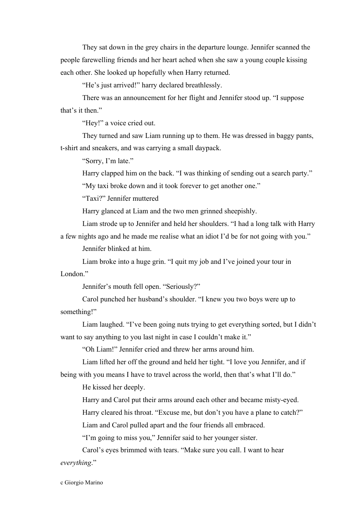They sat down in the grey chairs in the departure lounge. Jennifer scanned the people farewelling friends and her heart ached when she saw a young couple kissing each other. She looked up hopefully when Harry returned.

"He's just arrived!" harry declared breathlessly.

There was an announcement for her flight and Jennifer stood up. "I suppose that's it then."

"Hey!" a voice cried out.

They turned and saw Liam running up to them. He was dressed in baggy pants, t-shirt and sneakers, and was carrying a small daypack.

"Sorry, I'm late."

Harry clapped him on the back. "I was thinking of sending out a search party."

"My taxi broke down and it took forever to get another one."

"Taxi?" Jennifer muttered

Harry glanced at Liam and the two men grinned sheepishly.

Liam strode up to Jennifer and held her shoulders. "I had a long talk with Harry

a few nights ago and he made me realise what an idiot I'd be for not going with you."

Jennifer blinked at him.

Liam broke into a huge grin. "I quit my job and I've joined your tour in London<sup>"</sup>

Jennifer's mouth fell open. "Seriously?"

Carol punched her husband's shoulder. "I knew you two boys were up to something!"

Liam laughed. "I've been going nuts trying to get everything sorted, but I didn't want to say anything to you last night in case I couldn't make it."

"Oh Liam!" Jennifer cried and threw her arms around him.

Liam lifted her off the ground and held her tight. "I love you Jennifer, and if being with you means I have to travel across the world, then that's what I'll do."

He kissed her deeply.

Harry and Carol put their arms around each other and became misty-eyed.

Harry cleared his throat. "Excuse me, but don't you have a plane to catch?"

Liam and Carol pulled apart and the four friends all embraced.

"I'm going to miss you," Jennifer said to her younger sister.

Carol's eyes brimmed with tears. "Make sure you call. I want to hear *everything*."